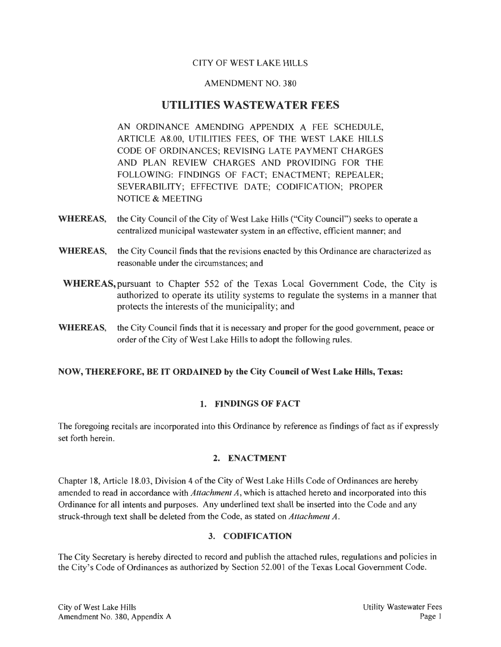# CITY OF WEST LAKE HILLS

#### AMENDMENT NO. 380

# UTILITIES WASTEWATER FEES

AN ORDINANCE AMENDING APPENDIX A FEE SCHEDULE, ARTICLE A8.00, UTILITIES FEES, OF THE WEST LAKE HILLS CODE OF ORDINANCES; REVISING LATE PAYMENT CHARGES AND PLAN REVIEW CHARGES AND PROVIDING FOR THE FOLLOWING: FINDINGS OF FACT; ENACTMENT; REPEALER; SEVERABILITY; EFFECTIVE DATE; CODIFICATION; PROPER NOTICE & MEETING

- WHEREAS, the City Council of the City of West Lake Hills ("City Council") seeks to operate a centralized municipal wastewater system in an effective, efficient manner; and
- WHEREAS, the City Council finds that the revisions enacted by this Ordinance are characterized as reasonable under the circumstances; and
- WHEREAS,pursuant to Chapter 552 of the Texas Local Government Code, the City is authorized to operate its utility systems to regulate the systems in a manner that protects the interests of the municipality; and
- WHEREAS, the City Council finds that it is necessary and proper for the good government, peace or order of the City of West Lake Hills to adopt the following rules.

### NOW, THEREFORE, BE IT ORDAINED by the City Council of West Lake Hills, Texas:

### 1. FINDINGS OF FACT

The foregoing recitals are incorporated into this Ordinance by reference as findings of fact as if expressly set forth herein.

### 2. ENACTMENT

Chapter 18, Article 18.03, Division 4 of the City of West Lake Hills Code of Ordinances are hereby amended to read in accordance with *Attachment A,* which is attached hereto and incorporated into this Ordinance for all intents and purposes. Any underlined text shall be inserted into the Code and any struck-through text shall be deleted from the Code, as stated on *Attachment A.* 

#### 3. CODIFICATION

The City Secretary is hereby directed to record and publish the attached rules, regulations and policies in the City's Code of Ordinances as authorized by Section 52.001 of the Texas Local Government Code.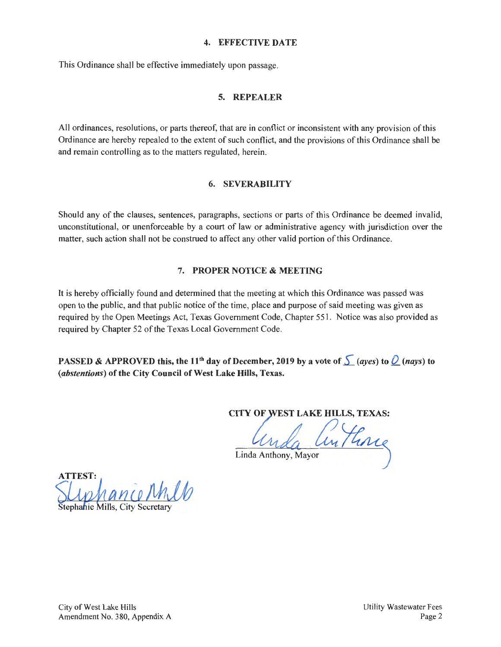#### 4. EFFECTIVE DATE

This Ordinance shall be effective immediately upon passage.

### 5. REPEALER

All ordinances, resolutions, or parts thereof, that are in conflict or inconsistent with any provision of this Ordinance are hereby repealed to the extent of such conflict, and the provisions of this Ordinance shall be and remain controlling as to the matters regulated, herein.

#### 6. SEVERABILITY

Should any of the clauses, sentences, paragraphs, sections or parts of this Ordinance be deemed invalid, unconstitutional, or unenforceable by a court of law or administrative agency with jurisdiction over the matter, such action shall not be construed to affect any other valid portion of this Ordinance.

# 7. PROPER NOTICE & MEETING

It is hereby officially found and determined that the meeting at which this Ordinance was passed was open to the public, and that public notice of the time, place and purpose of said meeting was given as required by the Open Meetings Act, Texas Government Code, Chapter 551 . Notice was also provided as required by Chapter 52 of the Texas Local Government Code.

PASSED & APPROVED this, the 11<sup>th</sup> day of December, 2019 by a vote of  $\int$  (ayes) to  $\int$  (nays) to (abstentions) of the City Council of West Lake Hills, Texas.

CITY OF WEST LAKE HILLS, TEXAS:

Linda Anthone

ATTEST: ance Milb tephanie Mills.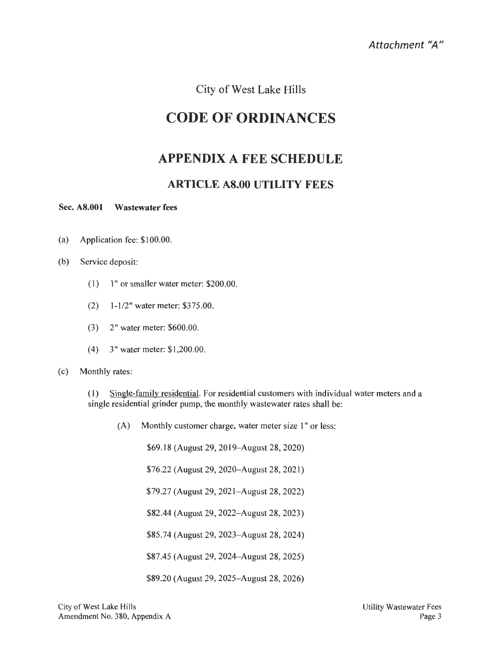City of West Lake Hills

# CODE OF ORDINANCES

# APPENDIX A FEE SCHEDULE

# ARTICLE A8.00 UTILITY FEES

#### Sec. A8.001 Wastewater fees

- (a) Application fee: \$100.00.
- (b) Service deposit:
	- $(1)$  1" or smaller water meter: \$200.00.
	- $(2)$  1-1/2" water meter: \$375.00.
	- $(3)$  2" water meter: \$600.00.
	- $(4)$  3" water meter: \$1,200.00.

#### (c) Monthly rates:

(1) Single-family residential. For residential customers with individual water meters and a single residential grinder pump, the monthly wastewater rates shall be:

(A) Monthly customer charge, water meter size 1" or less:

\$69.18 (August 29, 20 19- August 28, 2020)

\$76.22 (August 29, 2020-August 28, 2021)

\$79.27 (August 29, 2021-August 28, 2022)

\$82.44 (August 29, 2022-August 28, 2023)

\$85.74 (August 29, 2023-August 28, 2024)

\$87.45 (August 29, 2024-August 28, 2025)

\$89.20 (August 29, 2025-August 28, 2026)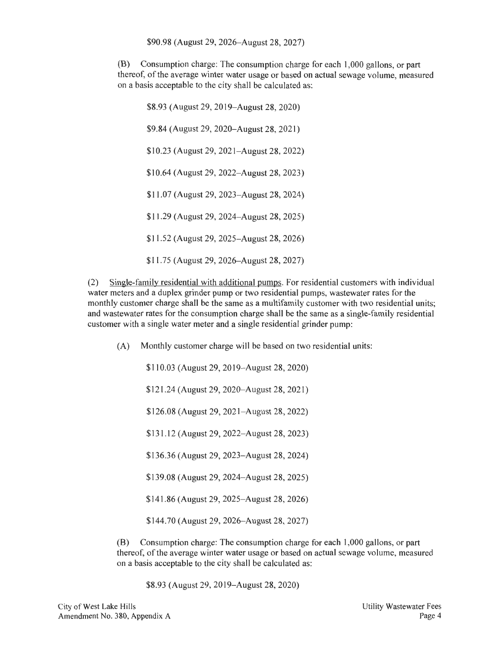\$90.98 (August 29, 2026-August 28, 2027)

(B) Consumption charge: The consumption charge for each 1,000 gallons, or part thereof, of the average winter water usage or based on actual sewage volume, measured on a basis acceptable to the city shall be calculated as:

\$8.93 (August 29, 2019–August 28, 2020) \$9.84 (August 29, 2020–August 28, 2021) \$10.23 (August 29, 2021–August 28, 2022) \$10.64 (August 29, 2022–August 28, 2023) \$11.07 (August 29, 2023- August 28, 2024) \$11.29 (August 29, 2024-August 28, 2025) \$11.52 (August 29, 2025–August 28, 2026) \$11.75 (August 29, 2026-August 28, 2027)

(2) Single-family residential with additional pumps. For residential customers with individual water meters and a duplex grinder pump or two residential pumps, wastewater rates for the monthly customer charge shall be the same as a multifamily customer with two residential units; and wastewater rates for the consumption charge shall be the same as a single-family residential customer with a single water meter and a single residential grinder pump:

(A) Monthly customer charge will be based on two residential units:

\$110.03 (August 29, 2019- August 28, 2020)

\$121.24 (August 29, 2020–August 28, 2021)

\$126.08 (August 29, 2021–August 28, 2022)

\$131.12 (August 29, 2022- August 28, 2023)

\$136.36 (August 29, 2023- August 28, 2024)

\$139.08 (August 29, 2024-August 28, 2025)

\$141.86 (August 29, 2025–August 28, 2026)

\$144.70 (August 29, 2026- August 28, 2027)

(B) Consumption charge: The consumption charge for each 1,000 gallons, or part thereof, of the average winter water usage or based on actual sewage volume, measured on a basis acceptable to the city shall be calculated as:

\$8.93 (August 29, 2019–August 28, 2020)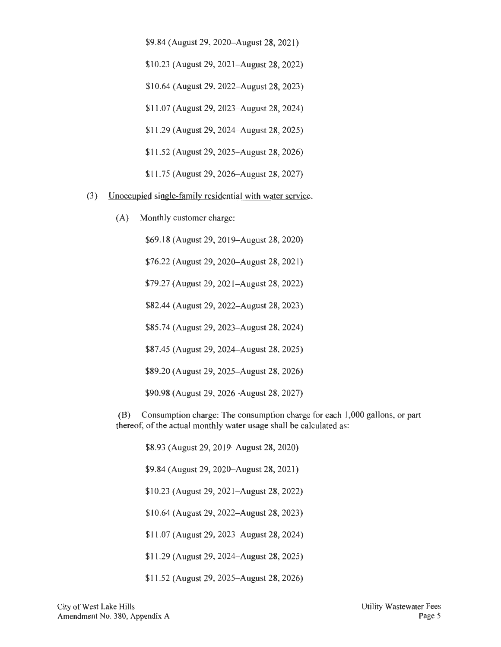\$9.84 (August 29, 2020-August 28, 2021)

\$10.23 (August 29, 2021–August 28, 2022)

\$10.64 (August 29, 2022-August 28, 2023)

\$11.07 (August 29, 2023-August 28, 2024)

\$11.29 (August 29, 2024-August 28, 2025)

\$11.52 (August 29, 2025-August 28, 2026)

\$11.75 (August 29, 2026-August 28, 2027)

(3) Unoccupied single-family residential with water service.

(A) Monthly customer charge:

\$69.18 (August 29, 2019-August 28, 2020)

\$76.22 (August 29, 2020-August 28, 2021)

\$79.27 (August 29, 2021–August 28, 2022)

\$82.44 (August 29, 2022-August 28, 2023)

\$85.74 (August 29, 2023–August 28, 2024)

\$87.45 (August 29, 2024- August 28, 2025)

\$89.20 (August 29, 2025-August 28, 2026)

\$90.98 (August 29, 2026-August 28, 2027)

(B) Consumption charge: The consumption charge for each 1,000 gallons, or part thereof, of the actual monthly water usage shall be calculated as:

\$8.93 (August 29, 2019–August 28, 2020)

\$9.84 (August 29, 2020–August 28, 2021)

\$10.23 (August 29, 2021-August 28, 2022)

\$10.64 (August 29, 2022-August 28, 2023)

\$11.07 (August 29, 2023-August 28, 2024)

\$11.29 (August 29, 2024-August 28, 2025)

\$11.52 (August 29, 2025- August 28, 2026)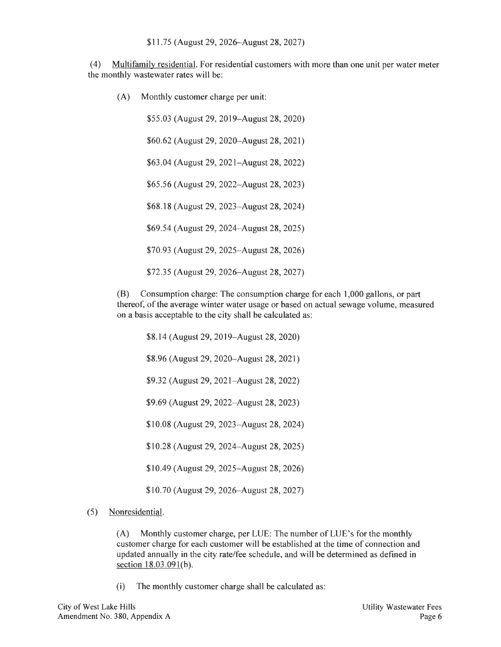(4) Multifamily residential. For residential customers with more than one unit per water meter the monthly wastewater rates will be:

(A) Monthly customer charge per unit:

\$55.03 (August 29, 2019-August 28, 2020) \$60.62 (August 29, 2020-August 28, 2021) \$63.04 (August 29, 2021-August 28, 2022) \$65 .56 (August 29, 2022-August 28, 2023) \$68.18 (August 29, 2023-August 28, 2024) \$69.54 (August 29, 2024-August 28, 2025) \$70.93 (August 29, 2025-August 28, 2026) \$72.35 (August 29, 2026-August 28, 2027)

(B) Consumption charge: The consumption charge for each 1,000 gallons, or part thereof, of the average winter water usage or based on actual sewage volume, measured on a basis acceptable to the city shall be calculated as:

\$8.14 (August 29, 2019–August 28, 2020)

\$8.96 (August 29, 2020-August 28, 2021)

\$9.32 (August 29, 2021–August 28, 2022)

\$9.69 (August 29, 2022–August 28, 2023)

\$10.08 (August 29, 2023-August 28, 2024)

\$10.28 (August 29, 2024-August 28, 2025)

\$10.49 (August 29, 2025-August 28, 2026)

\$10.70 (August 29, 2026-August 28, 2027)

(5) Nonresidential.

(A) Monthly customer charge, per LUE: The number of LUE's for the monthly customer charge for each customer will be established at the time of connection and updated annually in the city rate/fee schedule, and will be determined as defined in section 18.03.091(b).

(i) The monthly customer charge shall be calculated as: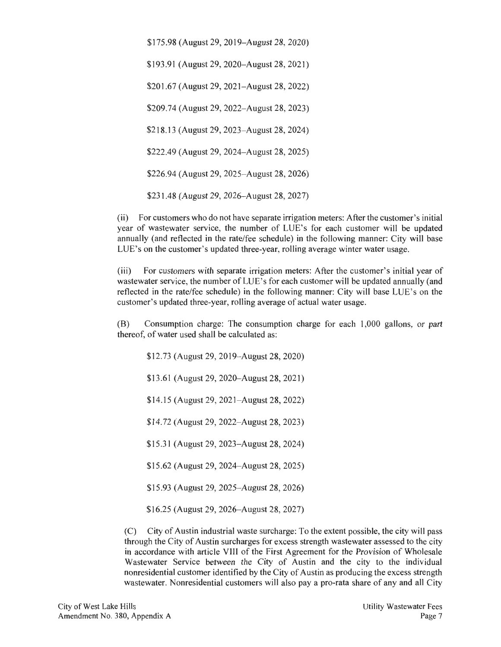\$175.98 (August 29, 2019- August 28, 2020) \$193.91 (August 29, 2020–August 28, 2021) \$201.67 (August 29, 2021–August 28, 2022) \$209.74 (August 29, 2022- August 28, 2023) \$218.13 (August 29, 2023- August 28, 2024) \$222.49 (August 29, 2024- August 28, 2025) \$226.94 (August 29, 2025-August 28, 2026) \$231.48 (August 29, 2026- August 28, 2027)

(ii) For customers who do not have separate irrigation meters: After the customer's initial year of wastewater service, the number of LUE's for each customer will be updated annually (and reflected in the rate/fee schedule) in the following manner: City will base LUE's on the customer's updated three-year, rolling average winter water usage.

(iii) For customers with separate irrigation meters: After the customer's initial year of wastewater service, the number of LUE's for each customer will be updated annually (and reflected in the rate/fee schedule) in the following manner: City will base LUE's on the customer's updated three-year, rolling average of actual water usage.

(B) Consumption charge: The consumption charge for each 1,000 gallons, or part thereof, of water used shall be calculated as:

\$12.73 (August 29, 2019- August 28, 2020)

\$13.61 (August 29, 2020–August 28, 2021)

\$14.15 (August 29, 2021–August 28, 2022)

\$14.72 (August 29, 2022–August 28, 2023)

\$15.31 (August 29, 2023- August 28, 2024)

\$15.62 (August 29, 2024-August 28, 2025)

\$15.93 (August 29, 2025- August 28, 2026)

\$16.25 (August 29, 2026-August 28, 2027)

(C) City of Austin industrial waste surcharge: To the extent possible, the city will pass through the City of Austin surcharges for excess strength wastewater assessed to the city in accordance with article VIII of the First Agreement for the Provision of Wholesale Wastewater Service between the City of Austin and the city to the individual nonresidential customer identified by the City of Austin as producing the excess strength wastewater. Nonresidential customers will also pay a pro-rata share of any and all City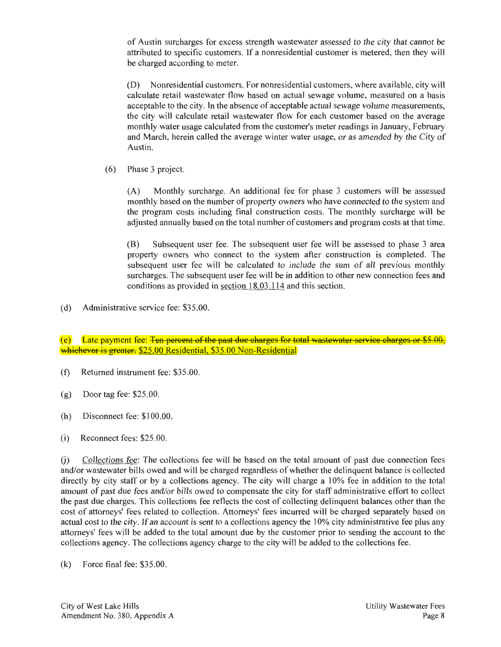of Austin surcharges for excess strength wastewater assessed to the city that cannot be attributed to specific customers. If a nonresidential customer is metered, then they will be charged according to meter.

(D) Nonresidential customers. For nonresidential customers, where available, city will calculate retail wastewater flow based on actual sewage volume, measured on a basis acceptable to the city. In the absence of acceptable actual sewage volume measurements, the city will calculate retail wastewater flow for each customer based on the average monthly water usage calculated from the customer's meter readings in January, February and March, herein called the average winter water usage, or as amended by the City of Austin.

(6) Phase 3 project.

(A) Monthly surcharge. An additional fee for phase 3 customers will be assessed monthly based on the number of property owners who have connected to the system and the program costs including final construction costs. The monthly surcharge will be adjusted annually based on the total number of customers and program costs at that time.

(B) Subsequent user fee. The subsequent user fee will be assessed to phase 3 area property owners who connect to the system after construction is completed. The subsequent user fee will be calculated to include the sum of all previous monthly surcharges. The subsequent user fee will be in addition to other new connection fees and conditions as provided in <u>section  $18.03.114$ </u> and this section.

(d) Administrative service fee: \$35.00.

(e) Late payment fee: <del>Ten percent of the past due charges for total wastewater service charges or \$5.00,</del> whichever is greater. \$25.00 Residential, \$35.00 Non-Residential

- (f) Returned instrument fee: \$35.00.
- (g) Door tag fee: \$25.00.
- (h) Disconnect fee: \$100.00.
- (i) Reconnect fees: \$25.00.

(j) Collections fee: The collections fee will be based on the total amount of past due connection fees and/or wastewater bills owed and will be charged regardless of whether the delinquent balance is collected directly by city staff or by a collections agency. The city will charge a 10% fee in addition to the total amount of past due fees and/or bills owed to compensate the city for staff administrative effort to collect the past due charges. This collections fee reflects the cost of collecting delinquent balances other than the cost of attorneys' fees related to collection. Attorneys' fees incurred will be charged separately based on actual cost to the city. If an account is sent to a collections agency the 10% city administrative fee plus any attorneys' fees will be added to the total amount due by the customer prior to sending the account to the collections agency. The collections agency charge to the city will be added to the collections fee.

(k) Force final fee: \$35.00.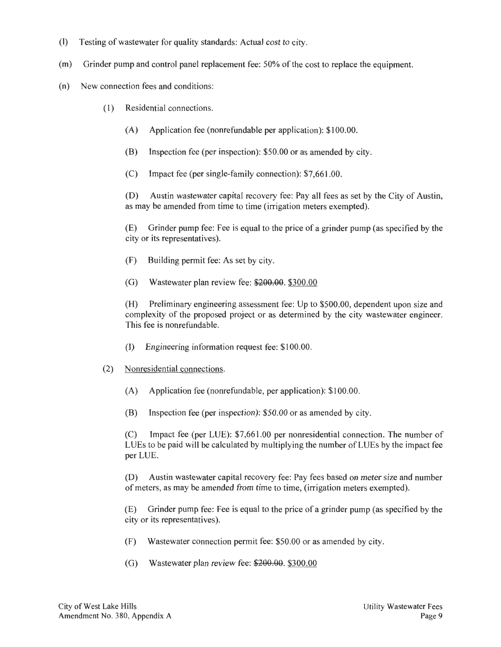- (I) Testing of wastewater for quality standards: Actual cost to city.
- (m) Grinder pump and control panel replacement fee: 50% of the cost to replace the equipment.
- (n) New connection fees and conditions:
	- ( 1) Residential connections.
		- (A) Application fee (nonrefundable per application): \$100.00.
		- (B) lnspection fee (per inspection): \$50.00 or as amended by city.
		- (C) Impact fee (per single-family connection): \$7,661.00.

(D) Austin wastewater capital recovery fee: Pay all fees as set by the City of Austin, as may be amended from time to time (irrigation meters exempted).

(E) Grinder pump fee: Fee is equal to the price of a grinder pump (as specified by the city or its representatives).

- (F) Building permit fee: As set by city.
- (G) Wastewater plan review fee: \$200.00. \$300.00

(H) Preliminary engineering assessment fee: Up to \$500.00, dependent upon size and complexity of the proposed project or as determined by the city wastewater engineer. This fee is nonrefundable.

- (I) Engineering information request fee: \$100.00.
- (2) Nonresidential connections.
	- (A) Application fee (nonrefundable, per application): \$100.00.
	- (B) lnspection fee (per inspection): \$50.00 or as amended by city.

(C) Impact fee (per LUE): \$7,661.00 per nonresidential connection. The number of LUEs to be paid will be calculated by multiplying the number of LUEs by the impact fee per LUE.

(D) Austin wastewater capital recovery fee: Pay fees based on meter size and number of meters, as may be amended from time to time, (irrigation meters exempted).

(E) Grinder pump fee : Fee is equal to the price of a grinder pump (as specified by the city or its representatives).

- (F) Wastewater connection permit fee: \$50.00 or as amended by city.
- (G) Wastewater plan review fee: \$200.00. \$300.00